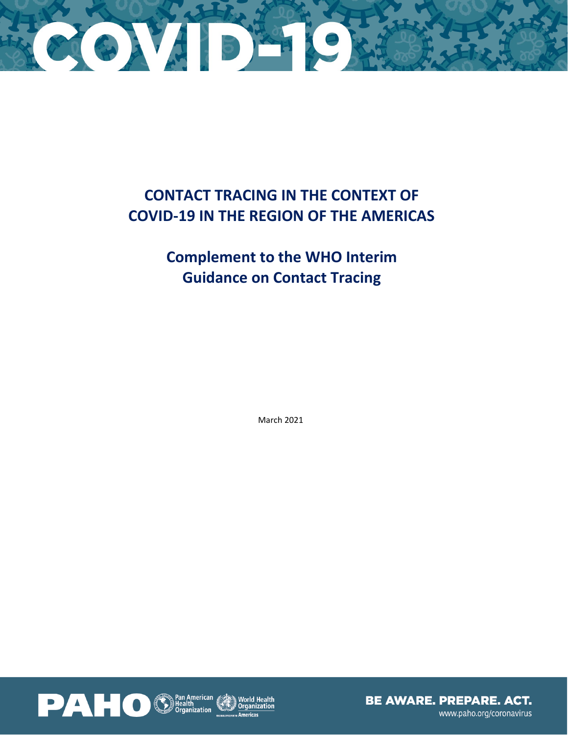

# **CONTACT TRACING IN THE CONTEXT OF COVID-19 IN THE REGION OF THE AMERICAS**

# **Complement to the WHO Interim Guidance on Contact Tracing**

March 2021

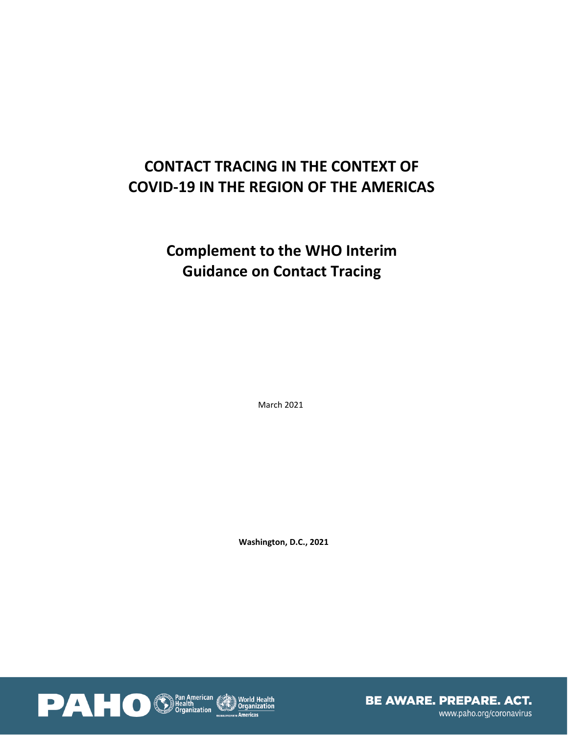# **CONTACT TRACING IN THE CONTEXT OF COVID-19 IN THE REGION OF THE AMERICAS**

# **Complement to the WHO Interim Guidance on Contact Tracing**

March 2021

**Washington, D.C., 2021**

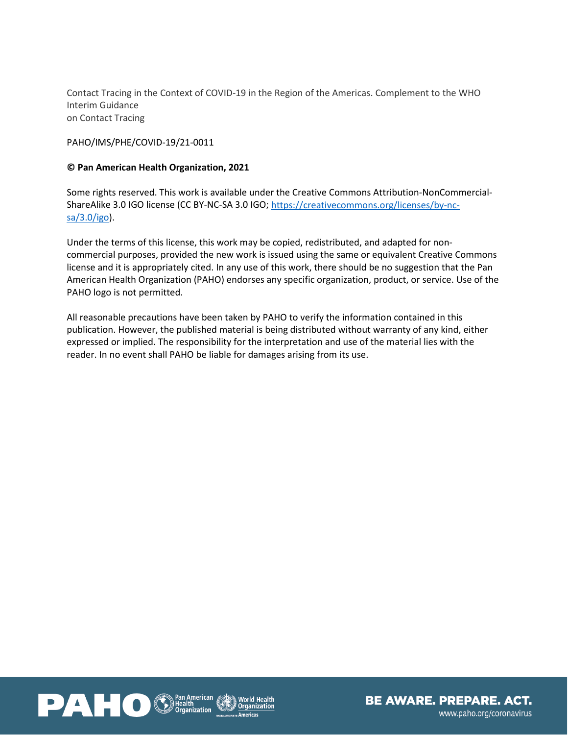Contact Tracing in the Context of COVID-19 in the Region of the Americas. Complement to the WHO Interim Guidance on Contact Tracing

PAHO/IMS/PHE/COVID-19/21-0011

# **© Pan American Health Organization, 2021**

Some rights reserved. This work is available under the Creative Commons Attribution-NonCommercial-ShareAlike 3.0 IGO license (CC BY-NC-SA 3.0 IGO; [https://creativecommons.org/licenses/by-nc](https://creativecommons.org/licenses/by-nc-sa/3.0/igo)[sa/3.0/igo\)](https://creativecommons.org/licenses/by-nc-sa/3.0/igo).

Under the terms of this license, this work may be copied, redistributed, and adapted for noncommercial purposes, provided the new work is issued using the same or equivalent Creative Commons license and it is appropriately cited. In any use of this work, there should be no suggestion that the Pan American Health Organization (PAHO) endorses any specific organization, product, or service. Use of the PAHO logo is not permitted.

All reasonable precautions have been taken by PAHO to verify the information contained in this publication. However, the published material is being distributed without warranty of any kind, either expressed or implied. The responsibility for the interpretation and use of the material lies with the reader. In no event shall PAHO be liable for damages arising from its use.



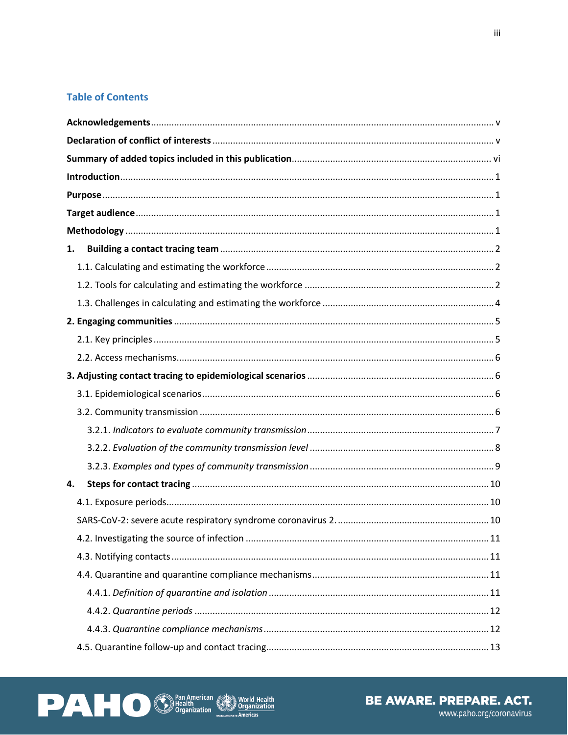# **Table of Contents**

| 1. |  |  |  |  |  |
|----|--|--|--|--|--|
|    |  |  |  |  |  |
|    |  |  |  |  |  |
|    |  |  |  |  |  |
|    |  |  |  |  |  |
|    |  |  |  |  |  |
|    |  |  |  |  |  |
|    |  |  |  |  |  |
|    |  |  |  |  |  |
|    |  |  |  |  |  |
|    |  |  |  |  |  |
|    |  |  |  |  |  |
|    |  |  |  |  |  |
| 4. |  |  |  |  |  |
|    |  |  |  |  |  |
|    |  |  |  |  |  |
|    |  |  |  |  |  |
|    |  |  |  |  |  |
|    |  |  |  |  |  |
|    |  |  |  |  |  |
|    |  |  |  |  |  |
|    |  |  |  |  |  |
|    |  |  |  |  |  |



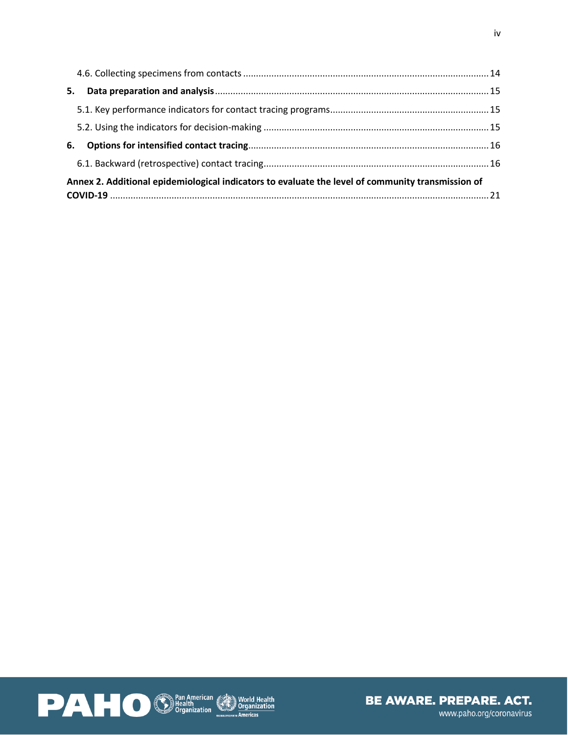| 5.                                                                                                |  |  |  |  |
|---------------------------------------------------------------------------------------------------|--|--|--|--|
|                                                                                                   |  |  |  |  |
|                                                                                                   |  |  |  |  |
| 6.                                                                                                |  |  |  |  |
|                                                                                                   |  |  |  |  |
| Annex 2. Additional epidemiological indicators to evaluate the level of community transmission of |  |  |  |  |
|                                                                                                   |  |  |  |  |



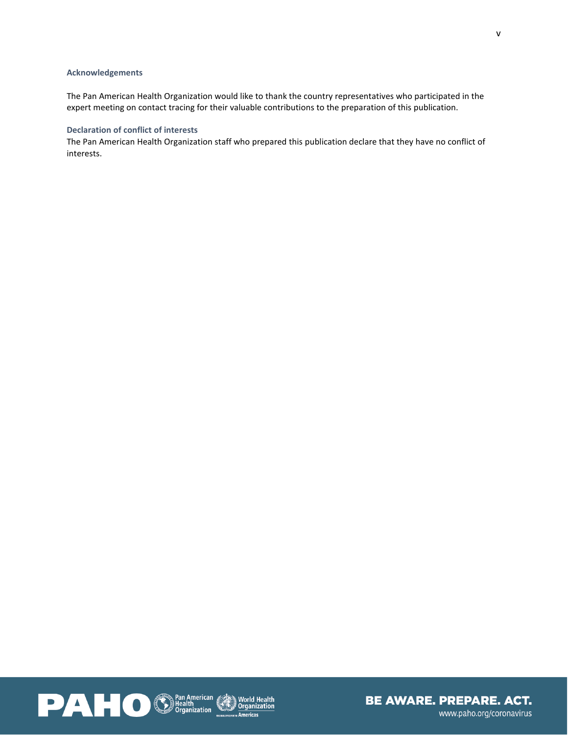#### <span id="page-5-0"></span>**Acknowledgements**

The Pan American Health Organization would like to thank the country representatives who participated in the expert meeting on contact tracing for their valuable contributions to the preparation of this publication.

## <span id="page-5-1"></span>**Declaration of conflict of interests**

The Pan American Health Organization staff who prepared this publication declare that they have no conflict of interests.



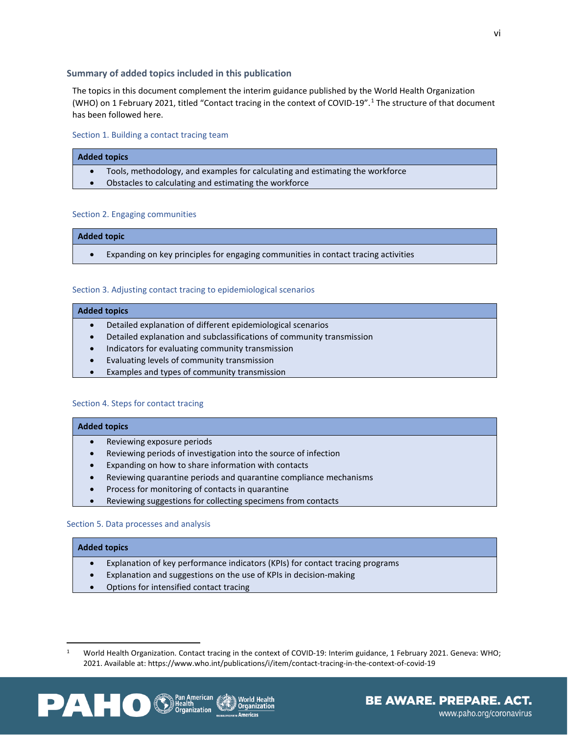#### <span id="page-6-0"></span>**Summary of added topics included in this publication**

The topics in this document complement the interim guidance published by the World Health Organization (WHO) on 1 February 2021, titled "Contact tracing in the context of COVID-19". [1](#page-6-1) The structure of that document has been followed here.

Section 1. Building a contact tracing team

#### **Added topics**

- Tools, methodology, and examples for calculating and estimating the workforce
- Obstacles to calculating and estimating the workforce

#### Section 2. Engaging communities

#### **Added topic**

• Expanding on key principles for engaging communities in contact tracing activities

#### Section 3. Adjusting contact tracing to epidemiological scenarios

#### **Added topics**

- Detailed explanation of different epidemiological scenarios
- Detailed explanation and subclassifications of community transmission
- Indicators for evaluating community transmission
- Evaluating levels of community transmission
- Examples and types of community transmission

#### Section 4. Steps for contact tracing

#### **Added topics**

- Reviewing exposure periods
- Reviewing periods of investigation into the source of infection
- Expanding on how to share information with contacts
- Reviewing quarantine periods and quarantine compliance mechanisms
- Process for monitoring of contacts in quarantine
- Reviewing suggestions for collecting specimens from contacts

#### Section 5. Data processes and analysis

#### **Added topics**

- Explanation of key performance indicators (KPIs) for contact tracing programs
- Explanation and suggestions on the use of KPIs in decision-making
- Options for intensified contact tracing

<span id="page-6-1"></span><sup>1</sup> World Health Organization. Contact tracing in the context of COVID-19: Interim guidance, 1 February 2021. Geneva: WHO; 2021. Available at: https://www.who.int/publications/i/item/contact-tracing-in-the-context-of-covid-19



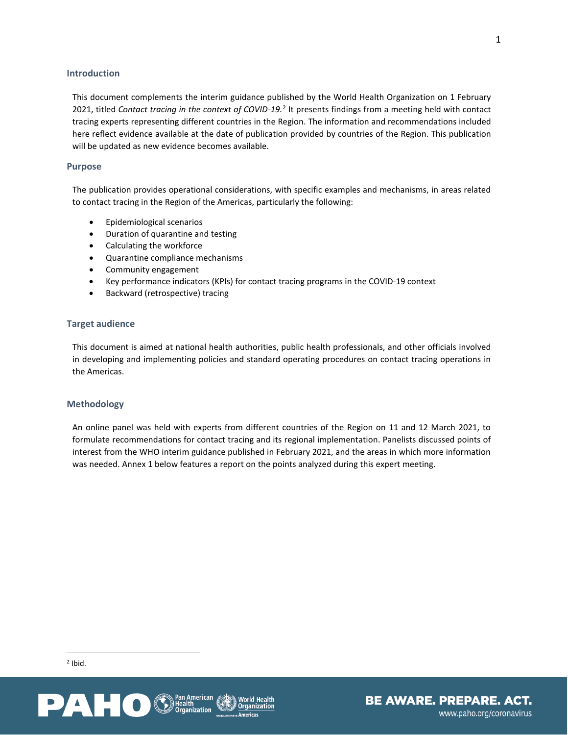#### <span id="page-7-0"></span>**Introduction**

This document complements the interim guidance published by the World Health Organization on 1 February 2021, titled *Contact tracing in the context of COVID-19.*[2](#page-7-4) It presents findings from a meeting held with contact tracing experts representing different countries in the Region. The information and recommendations included here reflect evidence available at the date of publication provided by countries of the Region. This publication will be updated as new evidence becomes available.

#### <span id="page-7-1"></span>**Purpose**

The publication provides operational considerations, with specific examples and mechanisms, in areas related to contact tracing in the Region of the Americas, particularly the following:

- Epidemiological scenarios
- Duration of quarantine and testing
- Calculating the workforce
- Quarantine compliance mechanisms
- Community engagement
- Key performance indicators (KPIs) for contact tracing programs in the COVID-19 context
- Backward (retrospective) tracing

#### <span id="page-7-2"></span>**Target audience**

This document is aimed at national health authorities, public health professionals, and other officials involved in developing and implementing policies and standard operating procedures on contact tracing operations in the Americas.

#### <span id="page-7-3"></span>**Methodology**

An online panel was held with experts from different countries of the Region on 11 and 12 March 2021, to formulate recommendations for contact tracing and its regional implementation. Panelists discussed points of interest from the WHO interim guidance published in February 2021, and the areas in which more information was needed. Annex 1 below features a report on the points analyzed during this expert meeting.

<span id="page-7-4"></span>

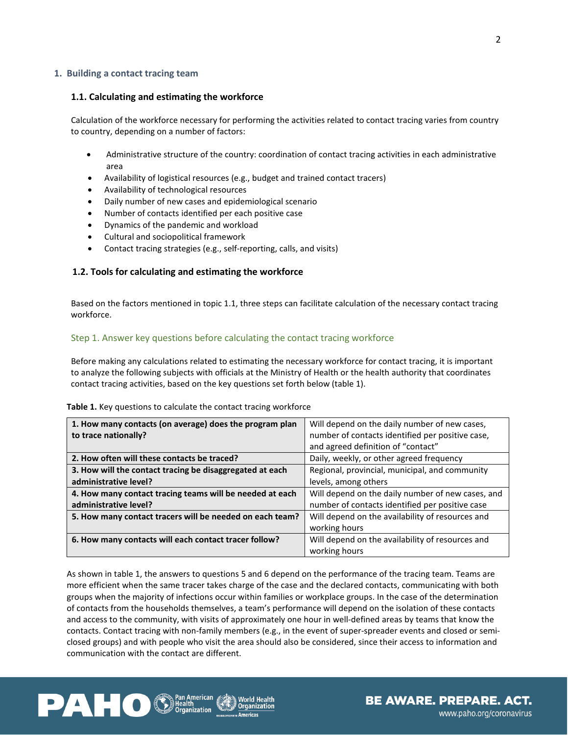#### <span id="page-8-0"></span>**1. Building a contact tracing team**

#### <span id="page-8-1"></span>**1.1. Calculating and estimating the workforce**

Calculation of the workforce necessary for performing the activities related to contact tracing varies from country to country, depending on a number of factors:

- Administrative structure of the country: coordination of contact tracing activities in each administrative area
- Availability of logistical resources (e.g., budget and trained contact tracers)
- Availability of technological resources
- Daily number of new cases and epidemiological scenario
- Number of contacts identified per each positive case
- Dynamics of the pandemic and workload
- Cultural and sociopolitical framework
- Contact tracing strategies (e.g., self-reporting, calls, and visits)

## <span id="page-8-2"></span>**1.2. Tools for calculating and estimating the workforce**

Based on the factors mentioned in topic 1.1, three steps can facilitate calculation of the necessary contact tracing workforce.

#### Step 1. Answer key questions before calculating the contact tracing workforce

Before making any calculations related to estimating the necessary workforce for contact tracing, it is important to analyze the following subjects with officials at the Ministry of Health or the health authority that coordinates contact tracing activities, based on the key questions set forth below (table 1).

#### **Table 1.** Key questions to calculate the contact tracing workforce

| 1. How many contacts (on average) does the program plan  | Will depend on the daily number of new cases,     |
|----------------------------------------------------------|---------------------------------------------------|
| to trace nationally?                                     | number of contacts identified per positive case,  |
|                                                          | and agreed definition of "contact"                |
| 2. How often will these contacts be traced?              | Daily, weekly, or other agreed frequency          |
| 3. How will the contact tracing be disaggregated at each | Regional, provincial, municipal, and community    |
| administrative level?                                    | levels, among others                              |
| 4. How many contact tracing teams will be needed at each | Will depend on the daily number of new cases, and |
| administrative level?                                    | number of contacts identified per positive case   |
| 5. How many contact tracers will be needed on each team? | Will depend on the availability of resources and  |
|                                                          | working hours                                     |
| 6. How many contacts will each contact tracer follow?    | Will depend on the availability of resources and  |
|                                                          | working hours                                     |

As shown in table 1, the answers to questions 5 and 6 depend on the performance of the tracing team. Teams are more efficient when the same tracer takes charge of the case and the declared contacts, communicating with both groups when the majority of infections occur within families or workplace groups. In the case of the determination of contacts from the households themselves, a team's performance will depend on the isolation of these contacts and access to the community, with visits of approximately one hour in well-defined areas by teams that know the contacts. Contact tracing with non-family members (e.g., in the event of super-spreader events and closed or semiclosed groups) and with people who visit the area should also be considered, since their access to information and communication with the contact are different.

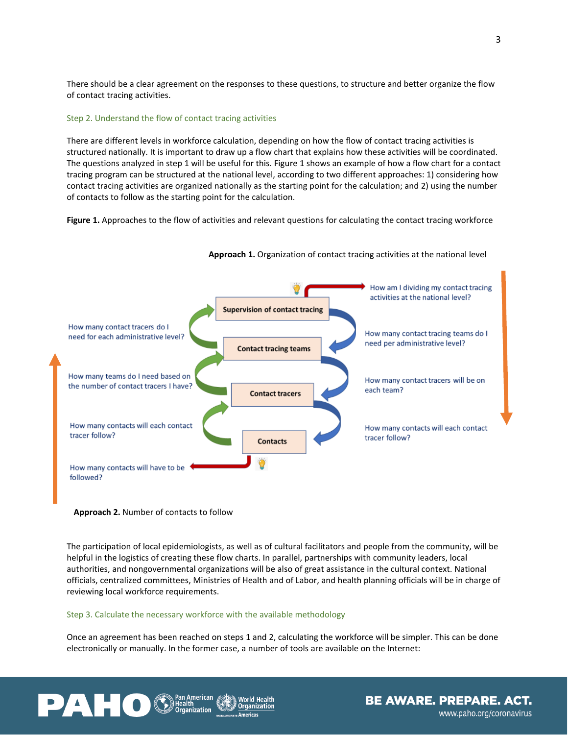There should be a clear agreement on the responses to these questions, to structure and better organize the flow of contact tracing activities.

#### Step 2. Understand the flow of contact tracing activities

There are different levels in workforce calculation, depending on how the flow of contact tracing activities is structured nationally. It is important to draw up a flow chart that explains how these activities will be coordinated. The questions analyzed in step 1 will be useful for this. Figure 1 shows an example of how a flow chart for a contact tracing program can be structured at the national level, according to two different approaches: 1) considering how contact tracing activities are organized nationally as the starting point for the calculation; and 2) using the number of contacts to follow as the starting point for the calculation.

**Figure 1.** Approaches to the flow of activities and relevant questions for calculating the contact tracing workforce



**Approach 1.** Organization of contact tracing activities at the national level

#### **Approach 2.** Number of contacts to follow

The participation of local epidemiologists, as well as of cultural facilitators and people from the community, will be helpful in the logistics of creating these flow charts. In parallel, partnerships with community leaders, local authorities, and nongovernmental organizations will be also of great assistance in the cultural context. National officials, centralized committees, Ministries of Health and of Labor, and health planning officials will be in charge of reviewing local workforce requirements.

#### Step 3. Calculate the necessary workforce with the available methodology

Once an agreement has been reached on steps 1 and 2, calculating the workforce will be simpler. This can be done electronically or manually. In the former case, a number of tools are available on the Internet:



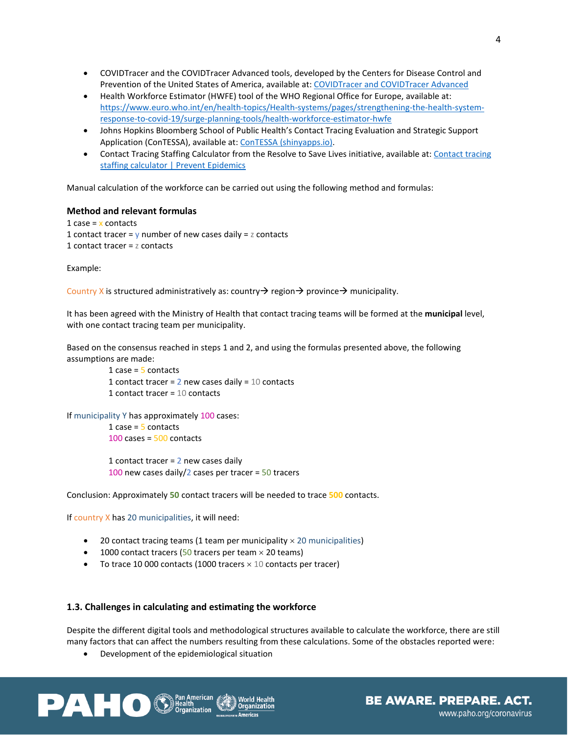- COVIDTracer and the COVIDTracer Advanced tools, developed by the Centers for Disease Control and Prevention of the United States of America, available at: [COVIDTracer and COVIDTracer Advanced](https://www.cdc.gov/coronavirus/2019-ncov/php/contact-tracing/COVIDTracerTools.html?CDC_AA_refVal=https%3A%2F%2Fwww.cdc.gov%2Fcoronavirus%2F2019-ncov%2Fphp%2Fcontact-tracing%2FCOVIDTracer.html)
- Health Workforce Estimator (HWFE) tool of the WHO Regional Office for Europe, available at: [https://www.euro.who.int/en/health-topics/Health-systems/pages/strengthening-the-health-system](https://www.euro.who.int/en/health-topics/Health-systems/pages/strengthening-the-health-system-response-to-covid-19/surge-planning-tools/health-workforce-estimator-hwfe)[response-to-covid-19/surge-planning-tools/health-workforce-estimator-hwfe](https://www.euro.who.int/en/health-topics/Health-systems/pages/strengthening-the-health-system-response-to-covid-19/surge-planning-tools/health-workforce-estimator-hwfe)
- Johns Hopkins Bloomberg School of Public Health's Contact Tracing Evaluation and Strategic Support Application (ConTESSA), available at: [ConTESSA \(shinyapps.io\).](https://iddynamicsjhu.shinyapps.io/contessa/)
- Contact Tracing Staffing Calculator from the Resolve to Save Lives initiative, available at: [Contact tracing](https://preventepidemics.org/covid19/resources/contact-tracing-staffing-calculator/)  [staffing calculator | Prevent Epidemics](https://preventepidemics.org/covid19/resources/contact-tracing-staffing-calculator/)

Manual calculation of the workforce can be carried out using the following method and formulas:

#### **Method and relevant formulas**

1 case =  $\times$  contacts 1 contact tracer =  $\gamma$  number of new cases daily =  $\alpha$  contacts 1 contact tracer = z contacts

Example:

Country X is structured administratively as: country  $\rightarrow$  region  $\rightarrow$  province  $\rightarrow$  municipality.

It has been agreed with the Ministry of Health that contact tracing teams will be formed at the **municipal** level, with one contact tracing team per municipality.

Based on the consensus reached in steps 1 and 2, and using the formulas presented above, the following assumptions are made:

```
1 case = 5 contacts
1 contact tracer = 2 new cases daily = 10 contacts
1 contact tracer = 10 contacts
```
If municipality Y has approximately 100 cases:

```
1 case = 5 contacts
100 cases = 500 contacts
1 contact tracer = 2 new cases daily
```
100 new cases daily/2 cases per tracer =  $50$  tracers

Conclusion: Approximately **50** contact tracers will be needed to trace **500** contacts.

If country X has 20 municipalities, it will need:

- 20 contact tracing teams (1 team per municipality  $\times$  20 municipalities)
- 1000 contact tracers (50 tracers per team  $\times$  20 teams)
- To trace 10 000 contacts (1000 tracers  $\times$  10 contacts per tracer)

## <span id="page-10-0"></span>**1.3. Challenges in calculating and estimating the workforce**

Despite the different digital tools and methodological structures available to calculate the workforce, there are still many factors that can affect the numbers resulting from these calculations. Some of the obstacles reported were:

**BE AWARE. PREPARE. ACT.** 

www.paho.org/coronavirus

• Development of the epidemiological situation





4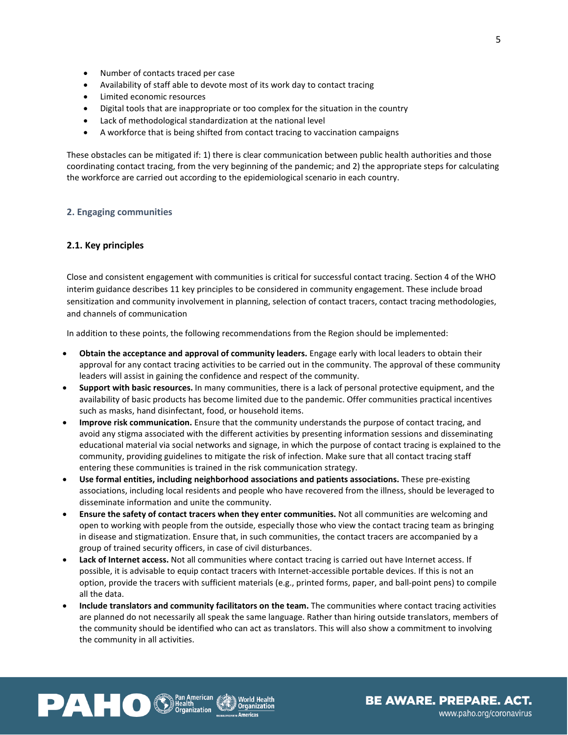- Number of contacts traced per case
- Availability of staff able to devote most of its work day to contact tracing
- Limited economic resources
- Digital tools that are inappropriate or too complex for the situation in the country
- Lack of methodological standardization at the national level
- A workforce that is being shifted from contact tracing to vaccination campaigns

These obstacles can be mitigated if: 1) there is clear communication between public health authorities and those coordinating contact tracing, from the very beginning of the pandemic; and 2) the appropriate steps for calculating the workforce are carried out according to the epidemiological scenario in each country.

#### <span id="page-11-0"></span>**2. Engaging communities**

## <span id="page-11-1"></span>**2.1. Key principles**

Close and consistent engagement with communities is critical for successful contact tracing. Section 4 of the WHO interim guidance describes 11 key principles to be considered in community engagement. These include broad sensitization and community involvement in planning, selection of contact tracers, contact tracing methodologies, and channels of communication

In addition to these points, the following recommendations from the Region should be implemented:

- **Obtain the acceptance and approval of community leaders.** Engage early with local leaders to obtain their approval for any contact tracing activities to be carried out in the community. The approval of these community leaders will assist in gaining the confidence and respect of the community.
- **Support with basic resources.** In many communities, there is a lack of personal protective equipment, and the availability of basic products has become limited due to the pandemic. Offer communities practical incentives such as masks, hand disinfectant, food, or household items.
- **Improve risk communication.** Ensure that the community understands the purpose of contact tracing, and avoid any stigma associated with the different activities by presenting information sessions and disseminating educational material via social networks and signage, in which the purpose of contact tracing is explained to the community, providing guidelines to mitigate the risk of infection. Make sure that all contact tracing staff entering these communities is trained in the risk communication strategy.
- **Use formal entities, including neighborhood associations and patients associations.** These pre-existing associations, including local residents and people who have recovered from the illness, should be leveraged to disseminate information and unite the community.
- **Ensure the safety of contact tracers when they enter communities.** Not all communities are welcoming and open to working with people from the outside, especially those who view the contact tracing team as bringing in disease and stigmatization. Ensure that, in such communities, the contact tracers are accompanied by a group of trained security officers, in case of civil disturbances.
- **Lack of Internet access.** Not all communities where contact tracing is carried out have Internet access. If possible, it is advisable to equip contact tracers with Internet-accessible portable devices. If this is not an option, provide the tracers with sufficient materials (e.g., printed forms, paper, and ball-point pens) to compile all the data.
- **Include translators and community facilitators on the team.** The communities where contact tracing activities are planned do not necessarily all speak the same language. Rather than hiring outside translators, members of the community should be identified who can act as translators. This will also show a commitment to involving the community in all activities.



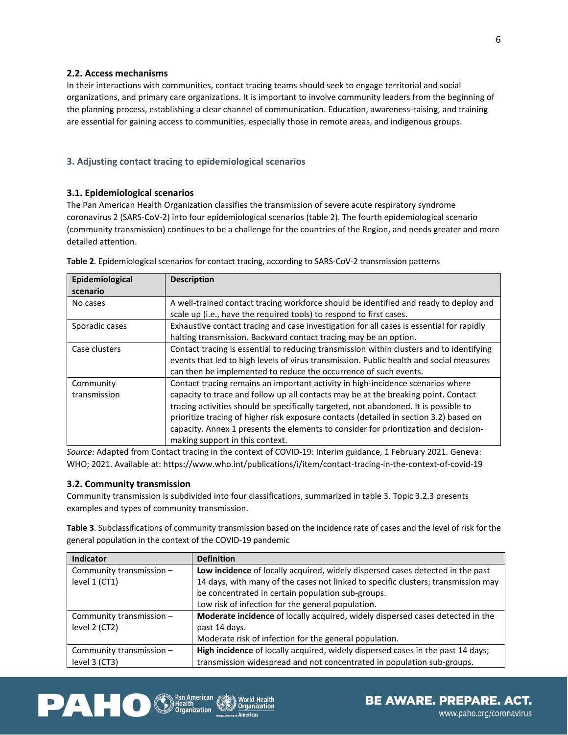## <span id="page-12-0"></span>**2.2. Access mechanisms**

In their interactions with communities, contact tracing teams should seek to engage territorial and social organizations, and primary care organizations. It is important to involve community leaders from the beginning of the planning process, establishing a clear channel of communication. Education, awareness-raising, and training are essential for gaining access to communities, especially those in remote areas, and indigenous groups.

# <span id="page-12-1"></span>**3. Adjusting contact tracing to epidemiological scenarios**

## <span id="page-12-2"></span>**3.1. Epidemiological scenarios**

The Pan American Health Organization classifies the transmission of severe acute respiratory syndrome coronavirus 2 (SARS-CoV-2) into four epidemiological scenarios (table 2). The fourth epidemiological scenario (community transmission) continues to be a challenge for the countries of the Region, and needs greater and more detailed attention.

| Epidemiological | <b>Description</b>                                                                       |  |  |
|-----------------|------------------------------------------------------------------------------------------|--|--|
| scenario        |                                                                                          |  |  |
| No cases        | A well-trained contact tracing workforce should be identified and ready to deploy and    |  |  |
|                 | scale up (i.e., have the required tools) to respond to first cases.                      |  |  |
| Sporadic cases  | Exhaustive contact tracing and case investigation for all cases is essential for rapidly |  |  |
|                 | halting transmission. Backward contact tracing may be an option.                         |  |  |
| Case clusters   | Contact tracing is essential to reducing transmission within clusters and to identifying |  |  |
|                 | events that led to high levels of virus transmission. Public health and social measures  |  |  |
|                 | can then be implemented to reduce the occurrence of such events.                         |  |  |
| Community       | Contact tracing remains an important activity in high-incidence scenarios where          |  |  |
| transmission    | capacity to trace and follow up all contacts may be at the breaking point. Contact       |  |  |
|                 | tracing activities should be specifically targeted, not abandoned. It is possible to     |  |  |
|                 | prioritize tracing of higher risk exposure contacts (detailed in section 3.2) based on   |  |  |
|                 | capacity. Annex 1 presents the elements to consider for prioritization and decision-     |  |  |
|                 | making support in this context.                                                          |  |  |

**Table 2**. Epidemiological scenarios for contact tracing, according to SARS-CoV-2 transmission patterns

*Source*: Adapted from Contact tracing in the context of COVID-19: Interim guidance, 1 February 2021. Geneva: WHO; 2021. Available at: https://www.who.int/publications/i/item/contact-tracing-in-the-context-of-covid-19

## <span id="page-12-3"></span>**3.2. Community transmission**

Community transmission is subdivided into four classifications, summarized in table 3. Topic 3.2.3 presents examples and types of community transmission.

**Table 3**. Subclassifications of community transmission based on the incidence rate of cases and the level of risk for the general population in the context of the COVID-19 pandemic

| <b>Indicator</b>                                                                                            | <b>Definition</b>                                                                 |  |  |
|-------------------------------------------------------------------------------------------------------------|-----------------------------------------------------------------------------------|--|--|
| Community transmission -                                                                                    | Low incidence of locally acquired, widely dispersed cases detected in the past    |  |  |
| level 1 (CT1)                                                                                               | 14 days, with many of the cases not linked to specific clusters; transmission may |  |  |
|                                                                                                             | be concentrated in certain population sub-groups.                                 |  |  |
|                                                                                                             | Low risk of infection for the general population.                                 |  |  |
| Community transmission -                                                                                    | Moderate incidence of locally acquired, widely dispersed cases detected in the    |  |  |
| level 2 (CT2)                                                                                               | past 14 days.                                                                     |  |  |
|                                                                                                             | Moderate risk of infection for the general population.                            |  |  |
| High incidence of locally acquired, widely dispersed cases in the past 14 days;<br>Community transmission - |                                                                                   |  |  |
| level 3 (CT3)                                                                                               | transmission widespread and not concentrated in population sub-groups.            |  |  |





6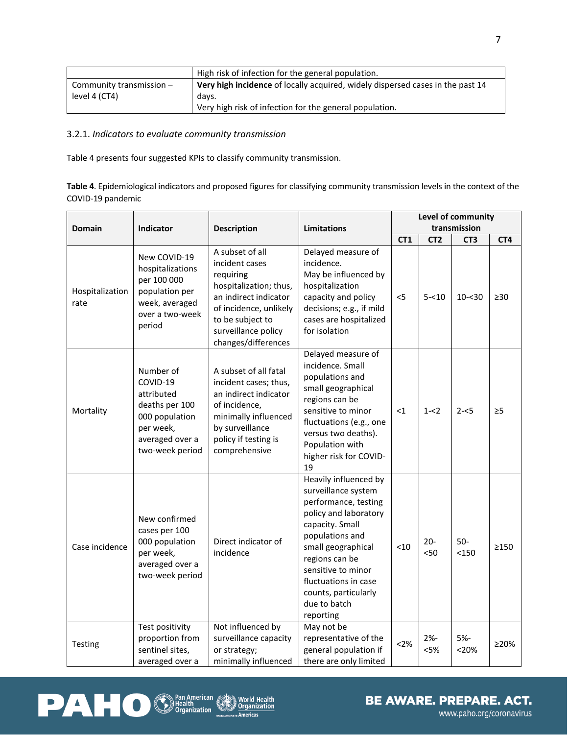|                          | High risk of infection for the general population.                             |  |
|--------------------------|--------------------------------------------------------------------------------|--|
| Community transmission - | Very high incidence of locally acquired, widely dispersed cases in the past 14 |  |
| level 4 (CT4)            | davs.                                                                          |  |
|                          | Very high risk of infection for the general population.                        |  |

# <span id="page-13-0"></span>3.2.1. *Indicators to evaluate community transmission*

Table 4 presents four suggested KPIs to classify community transmission.

**Table 4**. Epidemiological indicators and proposed figures for classifying community transmission levels in the context of the COVID-19 pandemic

| <b>Domain</b>           | <b>Indicator</b>                                                                                                           | <b>Description</b>                                                                                                                                                                            | <b>Limitations</b>                                                                                                                                                                                                                                                             | Level of community<br>transmission |                 |                 |                 |
|-------------------------|----------------------------------------------------------------------------------------------------------------------------|-----------------------------------------------------------------------------------------------------------------------------------------------------------------------------------------------|--------------------------------------------------------------------------------------------------------------------------------------------------------------------------------------------------------------------------------------------------------------------------------|------------------------------------|-----------------|-----------------|-----------------|
|                         |                                                                                                                            |                                                                                                                                                                                               |                                                                                                                                                                                                                                                                                | CT <sub>1</sub>                    | CT <sub>2</sub> | CT <sub>3</sub> | CT <sub>4</sub> |
| Hospitalization<br>rate | New COVID-19<br>hospitalizations<br>per 100 000<br>population per<br>week, averaged<br>over a two-week<br>period           | A subset of all<br>incident cases<br>requiring<br>hospitalization; thus,<br>an indirect indicator<br>of incidence, unlikely<br>to be subject to<br>surveillance policy<br>changes/differences | Delayed measure of<br>incidence.<br>May be influenced by<br>hospitalization<br>capacity and policy<br>decisions; e.g., if mild<br>cases are hospitalized<br>for isolation                                                                                                      | $<$ 5                              | $5 - 10$        | $10 - 30$       | $\geq 30$       |
| Mortality               | Number of<br>COVID-19<br>attributed<br>deaths per 100<br>000 population<br>per week,<br>averaged over a<br>two-week period | A subset of all fatal<br>incident cases; thus,<br>an indirect indicator<br>of incidence,<br>minimally influenced<br>by surveillance<br>policy if testing is<br>comprehensive                  | Delayed measure of<br>incidence. Small<br>populations and<br>small geographical<br>regions can be<br>sensitive to minor<br>fluctuations (e.g., one<br>versus two deaths).<br>Population with<br>higher risk for COVID-<br>19                                                   | $<$ 1                              | $1 - 2$         | $2 - 5$         | $\geq 5$        |
| Case incidence          | New confirmed<br>cases per 100<br>000 population<br>per week,<br>averaged over a<br>two-week period                        | Direct indicator of<br>incidence                                                                                                                                                              | Heavily influenced by<br>surveillance system<br>performance, testing<br>policy and laboratory<br>capacity. Small<br>populations and<br>small geographical<br>regions can be<br>sensitive to minor<br>fluctuations in case<br>counts, particularly<br>due to batch<br>reporting | $<$ 10                             | $20 -$<br>$50$  | $50-$<br>< 150  | >150            |
| Testing                 | Test positivity<br>proportion from<br>sentinel sites,<br>averaged over a                                                   | Not influenced by<br>surveillance capacity<br>or strategy;<br>minimally influenced                                                                                                            | May not be<br>representative of the<br>general population if<br>there are only limited                                                                                                                                                                                         | <2%                                | $2% -$<br>< 5%  | 5%-<br>< 20%    | ≥20%            |



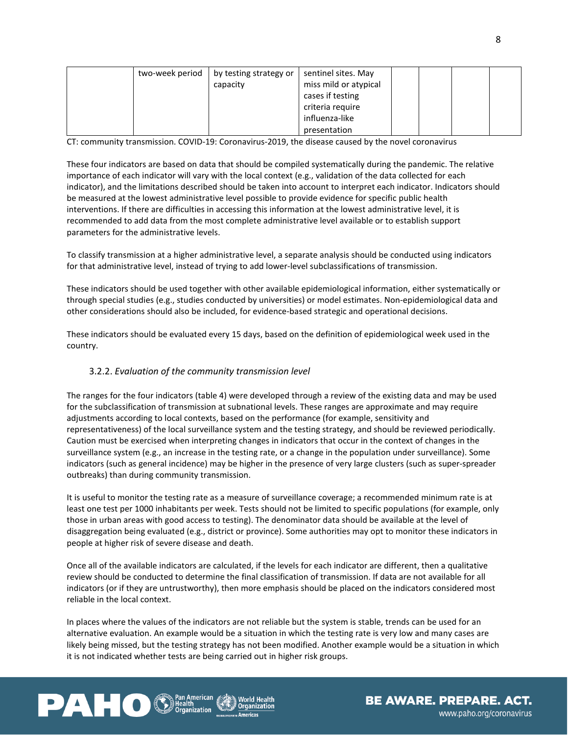| two-week period | by testing strategy or | sentinel sites. May   |  |  |
|-----------------|------------------------|-----------------------|--|--|
|                 | capacity               | miss mild or atypical |  |  |
|                 |                        | cases if testing      |  |  |
|                 |                        | criteria require      |  |  |
|                 |                        | influenza-like        |  |  |
|                 |                        | presentation          |  |  |

CT: community transmission. COVID-19: Coronavirus-2019, the disease caused by the novel coronavirus

These four indicators are based on data that should be compiled systematically during the pandemic. The relative importance of each indicator will vary with the local context (e.g., validation of the data collected for each indicator), and the limitations described should be taken into account to interpret each indicator. Indicators should be measured at the lowest administrative level possible to provide evidence for specific public health interventions. If there are difficulties in accessing this information at the lowest administrative level, it is recommended to add data from the most complete administrative level available or to establish support parameters for the administrative levels.

To classify transmission at a higher administrative level, a separate analysis should be conducted using indicators for that administrative level, instead of trying to add lower-level subclassifications of transmission.

These indicators should be used together with other available epidemiological information, either systematically or through special studies (e.g., studies conducted by universities) or model estimates. Non-epidemiological data and other considerations should also be included, for evidence-based strategic and operational decisions.

These indicators should be evaluated every 15 days, based on the definition of epidemiological week used in the country.

# <span id="page-14-0"></span>3.2.2. *Evaluation of the community transmission level*

The ranges for the four indicators (table 4) were developed through a review of the existing data and may be used for the subclassification of transmission at subnational levels. These ranges are approximate and may require adjustments according to local contexts, based on the performance (for example, sensitivity and representativeness) of the local surveillance system and the testing strategy, and should be reviewed periodically. Caution must be exercised when interpreting changes in indicators that occur in the context of changes in the surveillance system (e.g., an increase in the testing rate, or a change in the population under surveillance). Some indicators (such as general incidence) may be higher in the presence of very large clusters (such as super-spreader outbreaks) than during community transmission.

It is useful to monitor the testing rate as a measure of surveillance coverage; a recommended minimum rate is at least one test per 1000 inhabitants per week. Tests should not be limited to specific populations (for example, only those in urban areas with good access to testing). The denominator data should be available at the level of disaggregation being evaluated (e.g., district or province). Some authorities may opt to monitor these indicators in people at higher risk of severe disease and death.

Once all of the available indicators are calculated, if the levels for each indicator are different, then a qualitative review should be conducted to determine the final classification of transmission. If data are not available for all indicators (or if they are untrustworthy), then more emphasis should be placed on the indicators considered most reliable in the local context.

In places where the values of the indicators are not reliable but the system is stable, trends can be used for an alternative evaluation. An example would be a situation in which the testing rate is very low and many cases are likely being missed, but the testing strategy has not been modified. Another example would be a situation in which it is not indicated whether tests are being carried out in higher risk groups.



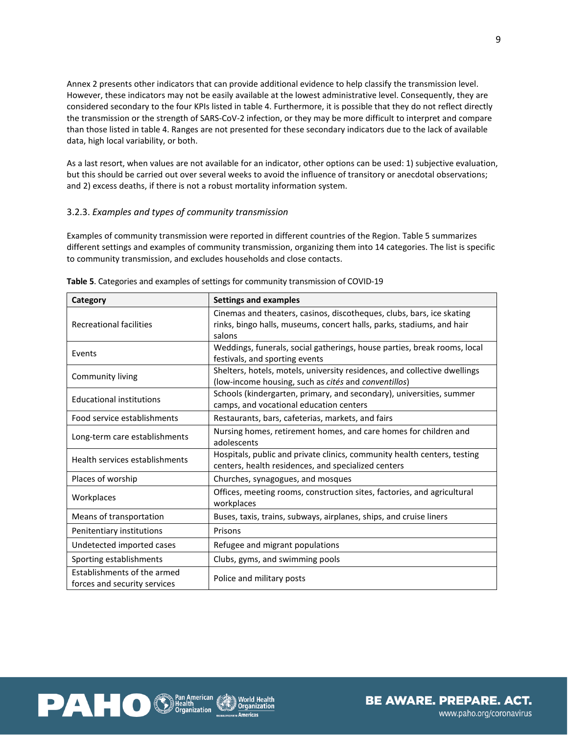Annex 2 presents other indicators that can provide additional evidence to help classify the transmission level. However, these indicators may not be easily available at the lowest administrative level. Consequently, they are considered secondary to the four KPIs listed in table 4. Furthermore, it is possible that they do not reflect directly the transmission or the strength of SARS-CoV-2 infection, or they may be more difficult to interpret and compare than those listed in table 4. Ranges are not presented for these secondary indicators due to the lack of available data, high local variability, or both.

As a last resort, when values are not available for an indicator, other options can be used: 1) subjective evaluation, but this should be carried out over several weeks to avoid the influence of transitory or anecdotal observations; and 2) excess deaths, if there is not a robust mortality information system.

## <span id="page-15-0"></span>3.2.3. *Examples and types of community transmission*

Examples of community transmission were reported in different countries of the Region. Table 5 summarizes different settings and examples of community transmission, organizing them into 14 categories. The list is specific to community transmission, and excludes households and close contacts.

| Category                                                    | <b>Settings and examples</b>                                                                                                                             |  |  |
|-------------------------------------------------------------|----------------------------------------------------------------------------------------------------------------------------------------------------------|--|--|
| <b>Recreational facilities</b>                              | Cinemas and theaters, casinos, discotheques, clubs, bars, ice skating<br>rinks, bingo halls, museums, concert halls, parks, stadiums, and hair<br>salons |  |  |
| Events                                                      | Weddings, funerals, social gatherings, house parties, break rooms, local<br>festivals, and sporting events                                               |  |  |
| Community living                                            | Shelters, hotels, motels, university residences, and collective dwellings<br>(low-income housing, such as cités and conventillos)                        |  |  |
| <b>Educational institutions</b>                             | Schools (kindergarten, primary, and secondary), universities, summer<br>camps, and vocational education centers                                          |  |  |
| Food service establishments                                 | Restaurants, bars, cafeterias, markets, and fairs                                                                                                        |  |  |
| Long-term care establishments                               | Nursing homes, retirement homes, and care homes for children and<br>adolescents                                                                          |  |  |
| Health services establishments                              | Hospitals, public and private clinics, community health centers, testing<br>centers, health residences, and specialized centers                          |  |  |
| Places of worship                                           | Churches, synagogues, and mosques                                                                                                                        |  |  |
| Workplaces                                                  | Offices, meeting rooms, construction sites, factories, and agricultural<br>workplaces                                                                    |  |  |
| Means of transportation                                     | Buses, taxis, trains, subways, airplanes, ships, and cruise liners                                                                                       |  |  |
| Penitentiary institutions                                   | Prisons                                                                                                                                                  |  |  |
| Undetected imported cases                                   | Refugee and migrant populations                                                                                                                          |  |  |
| Sporting establishments                                     | Clubs, gyms, and swimming pools                                                                                                                          |  |  |
| Establishments of the armed<br>forces and security services | Police and military posts                                                                                                                                |  |  |

**Table 5**. Categories and examples of settings for community transmission of COVID-19

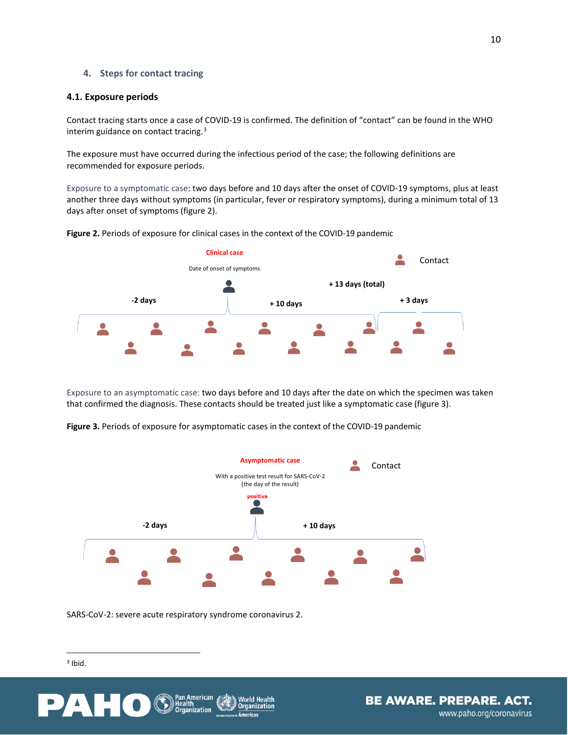## <span id="page-16-0"></span>**4. Steps for contact tracing**

## <span id="page-16-1"></span>**4.1. Exposure periods**

Contact tracing starts once a case of COVID-19 is confirmed. The definition of "contact" can be found in the WHO interim guidance on contact tracing.<sup>[3](#page-7-4)</sup>

The exposure must have occurred during the infectious period of the case; the following definitions are recommended for exposure periods.

Exposure to a symptomatic case: two days before and 10 days after the onset of COVID-19 symptoms, plus at least another three days without symptoms (in particular, fever or respiratory symptoms), during a minimum total of 13 days after onset of symptoms (figure 2).



**Figure 2.** Periods of exposure for clinical cases in the context of the COVID-19 pandemic

Exposure to an asymptomatic case: two days before and 10 days after the date on which the specimen was taken that confirmed the diagnosis. These contacts should be treated just like a symptomatic case (figure 3).

**Figure 3.** Periods of exposure for asymptomatic cases in the context of the COVID-19 pandemic



<span id="page-16-2"></span>SARS-CoV-2: severe acute respiratory syndrome coronavirus 2.

<sup>3</sup> Ibid.



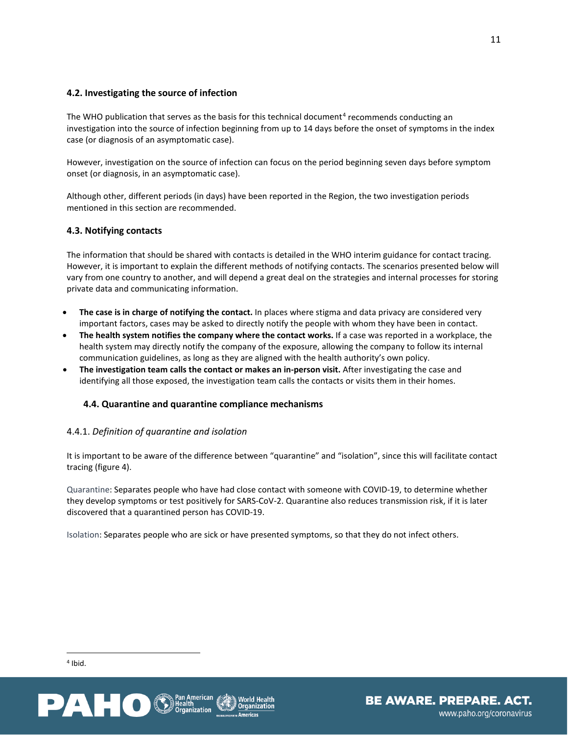# <span id="page-17-0"></span>**4.2. Investigating the source of infection**

The WHO publication that serves as the basis for this technical document<sup>[4](#page-17-4)</sup> recommends conducting an investigation into the source of infection beginning from up to 14 days before the onset of symptoms in the index case (or diagnosis of an asymptomatic case).

However, investigation on the source of infection can focus on the period beginning seven days before symptom onset (or diagnosis, in an asymptomatic case).

Although other, different periods (in days) have been reported in the Region, the two investigation periods mentioned in this section are recommended.

# <span id="page-17-1"></span>**4.3. Notifying contacts**

The information that should be shared with contacts is detailed in the WHO interim guidance for contact tracing. However, it is important to explain the different methods of notifying contacts. The scenarios presented below will vary from one country to another, and will depend a great deal on the strategies and internal processes for storing private data and communicating information.

- **The case is in charge of notifying the contact.** In places where stigma and data privacy are considered very important factors, cases may be asked to directly notify the people with whom they have been in contact.
- **The health system notifies the company where the contact works.** If a case was reported in a workplace, the health system may directly notify the company of the exposure, allowing the company to follow its internal communication guidelines, as long as they are aligned with the health authority's own policy.
- **The investigation team calls the contact or makes an in-person visit.** After investigating the case and identifying all those exposed, the investigation team calls the contacts or visits them in their homes.

# <span id="page-17-2"></span>**4.4. Quarantine and quarantine compliance mechanisms**

## <span id="page-17-3"></span>4.4.1. *Definition of quarantine and isolation*

It is important to be aware of the difference between "quarantine" and "isolation", since this will facilitate contact tracing (figure 4).

Quarantine: Separates people who have had close contact with someone with COVID-19, to determine whether they develop symptoms or test positively for SARS-CoV-2. Quarantine also reduces transmission risk, if it is later discovered that a quarantined person has COVID-19.

Isolation: Separates people who are sick or have presented symptoms, so that they do not infect others.

<span id="page-17-4"></span> $4$  Ibid.



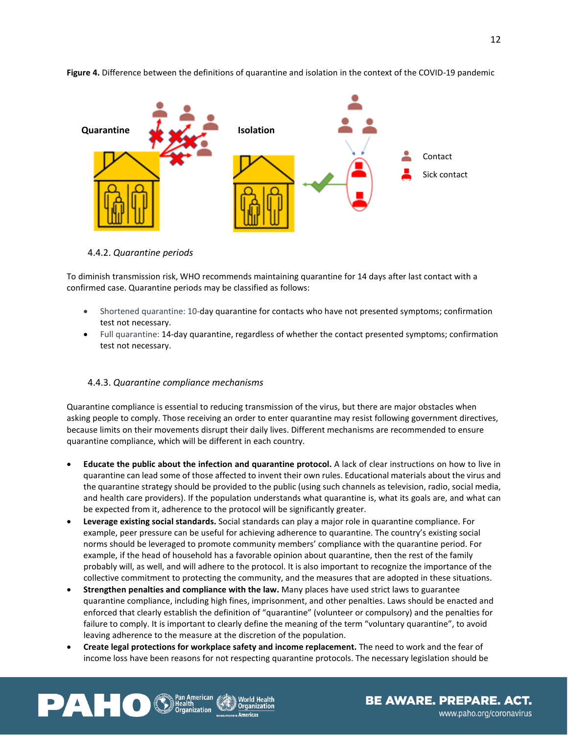

**Figure 4.** Difference between the definitions of quarantine and isolation in the context of the COVID-19 pandemic

<span id="page-18-0"></span>4.4.2. *Quarantine periods* 

PAHO

To diminish transmission risk, WHO recommends maintaining quarantine for 14 days after last contact with a confirmed case. Quarantine periods may be classified as follows:

- Shortened quarantine: 10-day quarantine for contacts who have not presented symptoms; confirmation test not necessary.
- Full quarantine: 14-day quarantine, regardless of whether the contact presented symptoms; confirmation test not necessary.

## <span id="page-18-1"></span>4.4.3. *Quarantine compliance mechanisms*

Quarantine compliance is essential to reducing transmission of the virus, but there are major obstacles when asking people to comply. Those receiving an order to enter quarantine may resist following government directives, because limits on their movements disrupt their daily lives. Different mechanisms are recommended to ensure quarantine compliance, which will be different in each country.

- **Educate the public about the infection and quarantine protocol.** A lack of clear instructions on how to live in quarantine can lead some of those affected to invent their own rules. Educational materials about the virus and the quarantine strategy should be provided to the public (using such channels as television, radio, social media, and health care providers). If the population understands what quarantine is, what its goals are, and what can be expected from it, adherence to the protocol will be significantly greater.
- **Leverage existing social standards.** Social standards can play a major role in quarantine compliance. For example, peer pressure can be useful for achieving adherence to quarantine. The country's existing social norms should be leveraged to promote community members' compliance with the quarantine period. For example, if the head of household has a favorable opinion about quarantine, then the rest of the family probably will, as well, and will adhere to the protocol. It is also important to recognize the importance of the collective commitment to protecting the community, and the measures that are adopted in these situations.
- **Strengthen penalties and compliance with the law.** Many places have used strict laws to guarantee quarantine compliance, including high fines, imprisonment, and other penalties. Laws should be enacted and enforced that clearly establish the definition of "quarantine" (volunteer or compulsory) and the penalties for failure to comply. It is important to clearly define the meaning of the term "voluntary quarantine", to avoid leaving adherence to the measure at the discretion of the population.
- **Create legal protections for workplace safety and income replacement.** The need to work and the fear of income loss have been reasons for not respecting quarantine protocols. The necessary legislation should be



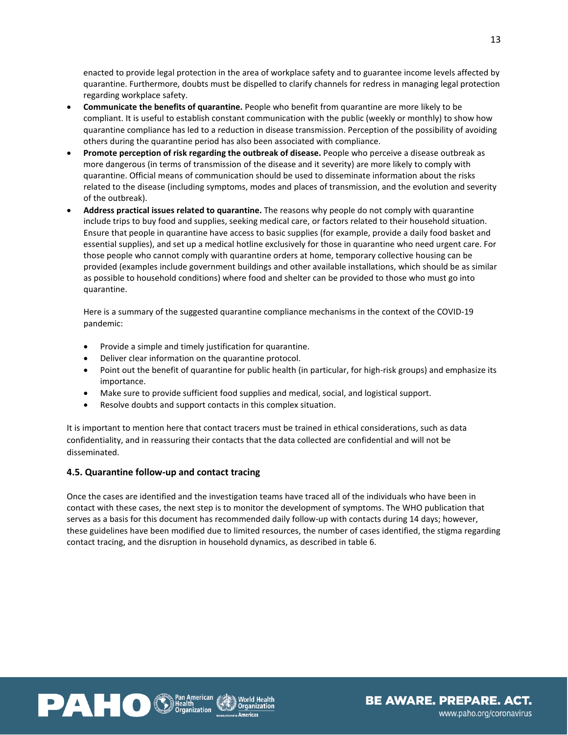enacted to provide legal protection in the area of workplace safety and to guarantee income levels affected by quarantine. Furthermore, doubts must be dispelled to clarify channels for redress in managing legal protection regarding workplace safety.

- **Communicate the benefits of quarantine.** People who benefit from quarantine are more likely to be compliant. It is useful to establish constant communication with the public (weekly or monthly) to show how quarantine compliance has led to a reduction in disease transmission. Perception of the possibility of avoiding others during the quarantine period has also been associated with compliance.
- **Promote perception of risk regarding the outbreak of disease.** People who perceive a disease outbreak as more dangerous (in terms of transmission of the disease and it severity) are more likely to comply with quarantine. Official means of communication should be used to disseminate information about the risks related to the disease (including symptoms, modes and places of transmission, and the evolution and severity of the outbreak).
- **Address practical issues related to quarantine.** The reasons why people do not comply with quarantine include trips to buy food and supplies, seeking medical care, or factors related to their household situation. Ensure that people in quarantine have access to basic supplies (for example, provide a daily food basket and essential supplies), and set up a medical hotline exclusively for those in quarantine who need urgent care. For those people who cannot comply with quarantine orders at home, temporary collective housing can be provided (examples include government buildings and other available installations, which should be as similar as possible to household conditions) where food and shelter can be provided to those who must go into quarantine.

Here is a summary of the suggested quarantine compliance mechanisms in the context of the COVID-19 pandemic:

- Provide a simple and timely justification for quarantine.
- Deliver clear information on the quarantine protocol.
- Point out the benefit of quarantine for public health (in particular, for high-risk groups) and emphasize its importance.
- Make sure to provide sufficient food supplies and medical, social, and logistical support.
- Resolve doubts and support contacts in this complex situation.

It is important to mention here that contact tracers must be trained in ethical considerations, such as data confidentiality, and in reassuring their contacts that the data collected are confidential and will not be disseminated.

## <span id="page-19-0"></span>**4.5. Quarantine follow-up and contact tracing**

Once the cases are identified and the investigation teams have traced all of the individuals who have been in contact with these cases, the next step is to monitor the development of symptoms. The WHO publication that serves as a basis for this document has recommended daily follow-up with contacts during 14 days; however, these guidelines have been modified due to limited resources, the number of cases identified, the stigma regarding contact tracing, and the disruption in household dynamics, as described in table 6.



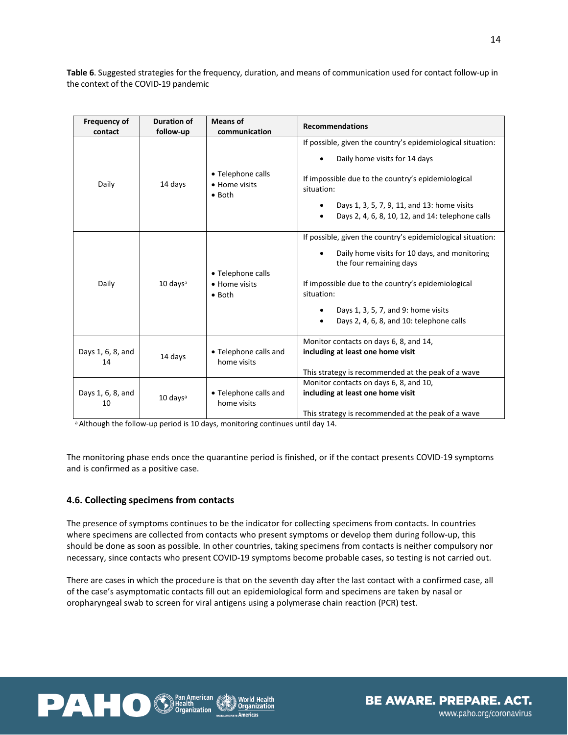**Table 6**. Suggested strategies for the frequency, duration, and means of communication used for contact follow-up in the context of the COVID-19 pandemic

| <b>Frequency of</b><br>contact                                             | <b>Duration of</b><br>follow-up | <b>Means of</b><br>communication                     | <b>Recommendations</b>                                                                                                                                                                                                                                                                         |  |
|----------------------------------------------------------------------------|---------------------------------|------------------------------------------------------|------------------------------------------------------------------------------------------------------------------------------------------------------------------------------------------------------------------------------------------------------------------------------------------------|--|
| Daily                                                                      | 14 days                         | • Telephone calls<br>• Home visits<br>$\bullet$ Both | If possible, given the country's epidemiological situation:<br>Daily home visits for 14 days<br>If impossible due to the country's epidemiological<br>situation:<br>Days 1, 3, 5, 7, 9, 11, and 13: home visits<br>Days 2, 4, 6, 8, 10, 12, and 14: telephone calls<br>$\bullet$               |  |
| Daily                                                                      | $10 \text{ days}$ <sup>a</sup>  | • Telephone calls<br>• Home visits<br>$\bullet$ Both | If possible, given the country's epidemiological situation:<br>Daily home visits for 10 days, and monitoring<br>the four remaining days<br>If impossible due to the country's epidemiological<br>situation:<br>Days 1, 3, 5, 7, and 9: home visits<br>Days 2, 4, 6, 8, and 10: telephone calls |  |
| • Telephone calls and<br>Days 1, 6, 8, and<br>14 days<br>home visits<br>14 |                                 |                                                      | Monitor contacts on days 6, 8, and 14,<br>including at least one home visit<br>This strategy is recommended at the peak of a wave                                                                                                                                                              |  |
| Days 1, 6, 8, and<br>10                                                    | $10 \text{ days}^3$             | • Telephone calls and<br>home visits                 | Monitor contacts on days 6, 8, and 10,<br>including at least one home visit<br>This strategy is recommended at the peak of a wave                                                                                                                                                              |  |

a Although the follow-up period is 10 days, monitoring continues until day 14.

The monitoring phase ends once the quarantine period is finished, or if the contact presents COVID-19 symptoms and is confirmed as a positive case.

## <span id="page-20-0"></span>**4.6. Collecting specimens from contacts**

The presence of symptoms continues to be the indicator for collecting specimens from contacts. In countries where specimens are collected from contacts who present symptoms or develop them during follow-up, this should be done as soon as possible. In other countries, taking specimens from contacts is neither compulsory nor necessary, since contacts who present COVID-19 symptoms become probable cases, so testing is not carried out.

There are cases in which the procedure is that on the seventh day after the last contact with a confirmed case, all of the case's asymptomatic contacts fill out an epidemiological form and specimens are taken by nasal or oropharyngeal swab to screen for viral antigens using a polymerase chain reaction (PCR) test.



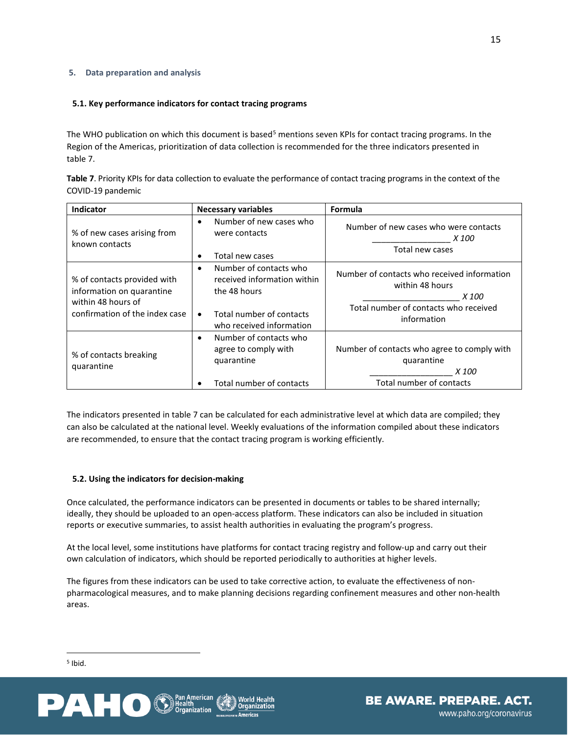## <span id="page-21-0"></span>**5. Data preparation and analysis**

## <span id="page-21-1"></span>**5.1. Key performance indicators for contact tracing programs**

The WHO publication on which this document is based<sup>[5](#page-21-3)</sup> mentions seven KPIs for contact tracing programs. In the Region of the Americas, prioritization of data collection is recommended for the three indicators presented in table 7.

| Table 7. Priority KPIs for data collection to evaluate the performance of contact tracing programs in the context of the |
|--------------------------------------------------------------------------------------------------------------------------|
| COVID-19 pandemic                                                                                                        |

| Indicator                                                                                                        | <b>Necessary variables</b>                                                                                                                              | <b>Formula</b>                                                                                                                  |
|------------------------------------------------------------------------------------------------------------------|---------------------------------------------------------------------------------------------------------------------------------------------------------|---------------------------------------------------------------------------------------------------------------------------------|
| % of new cases arising from<br>known contacts                                                                    | Number of new cases who<br>$\bullet$<br>were contacts<br>Total new cases                                                                                | Number of new cases who were contacts<br><i>X</i> 100<br>Total new cases                                                        |
| % of contacts provided with<br>information on quarantine<br>within 48 hours of<br>confirmation of the index case | Number of contacts who<br>$\bullet$<br>received information within<br>the 48 hours<br>Total number of contacts<br>$\bullet$<br>who received information | Number of contacts who received information<br>within 48 hours<br>X 100<br>Total number of contacts who received<br>information |
| % of contacts breaking<br>quarantine                                                                             | Number of contacts who<br>$\bullet$<br>agree to comply with<br>quarantine<br>Total number of contacts                                                   | Number of contacts who agree to comply with<br>quarantine<br>X 100<br>Total number of contacts                                  |

The indicators presented in table 7 can be calculated for each administrative level at which data are compiled; they can also be calculated at the national level. Weekly evaluations of the information compiled about these indicators are recommended, to ensure that the contact tracing program is working efficiently.

## <span id="page-21-2"></span>**5.2. Using the indicators for decision-making**

Once calculated, the performance indicators can be presented in documents or tables to be shared internally; ideally, they should be uploaded to an open-access platform. These indicators can also be included in situation reports or executive summaries, to assist health authorities in evaluating the program's progress.

At the local level, some institutions have platforms for contact tracing registry and follow-up and carry out their own calculation of indicators, which should be reported periodically to authorities at higher levels.

The figures from these indicators can be used to take corrective action, to evaluate the effectiveness of nonpharmacological measures, and to make planning decisions regarding confinement measures and other non-health areas.



<span id="page-21-3"></span> $<sup>5</sup>$  Ibid.</sup>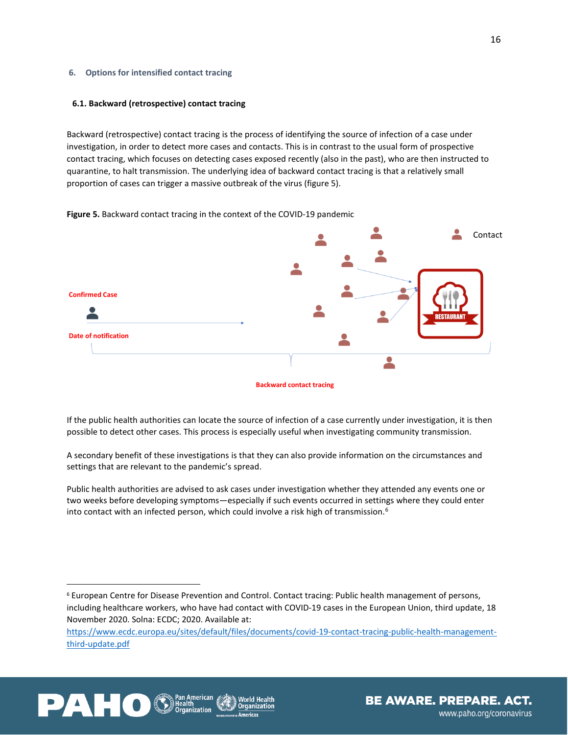#### <span id="page-22-0"></span>**6. Options for intensified contact tracing**

#### <span id="page-22-1"></span>**6.1. Backward (retrospective) contact tracing**

Backward (retrospective) contact tracing is the process of identifying the source of infection of a case under investigation, in order to detect more cases and contacts. This is in contrast to the usual form of prospective contact tracing, which focuses on detecting cases exposed recently (also in the past), who are then instructed to quarantine, to halt transmission. The underlying idea of backward contact tracing is that a relatively small proportion of cases can trigger a massive outbreak of the virus (figure 5).

#### **Figure 5.** Backward contact tracing in the context of the COVID-19 pandemic



If the public health authorities can locate the source of infection of a case currently under investigation, it is then possible to detect other cases. This process is especially useful when investigating community transmission.

A secondary benefit of these investigations is that they can also provide information on the circumstances and settings that are relevant to the pandemic's spread.

Public health authorities are advised to ask cases under investigation whether they attended any events one or two weeks before developing symptoms—especially if such events occurred in settings where they could enter into contact with an infected person, which could involve a risk high of transmission.<sup>6</sup>

[https://www.ecdc.europa.eu/sites/default/files/documents/covid-19-contact-tracing-public-health-management](https://www.ecdc.europa.eu/sites/default/files/documents/covid-19-contact-tracing-public-health-management-third-update.pdf)[third-update.pdf](https://www.ecdc.europa.eu/sites/default/files/documents/covid-19-contact-tracing-public-health-management-third-update.pdf)





<span id="page-22-2"></span><sup>6</sup> European Centre for Disease Prevention and Control. Contact tracing: Public health management of persons, including healthcare workers, who have had contact with COVID-19 cases in the European Union, third update, 18 November 2020. Solna: ECDC; 2020. Available at: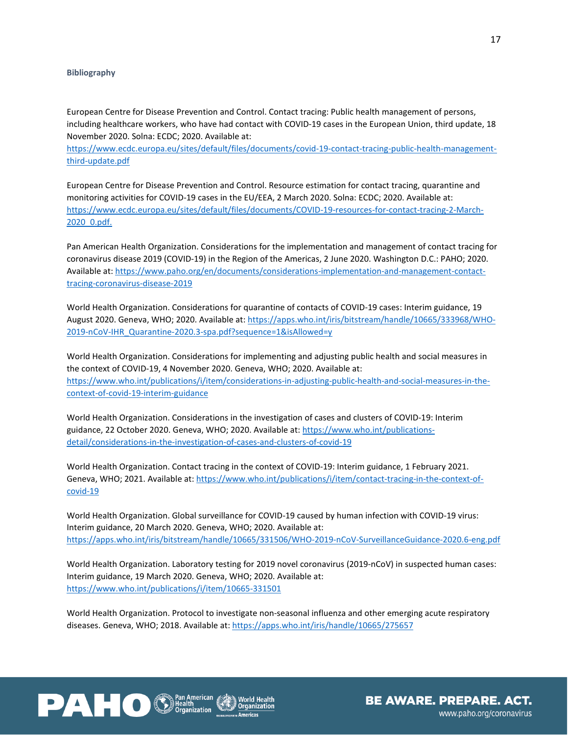#### **Bibliography**

European Centre for Disease Prevention and Control. Contact tracing: Public health management of persons, including healthcare workers, who have had contact with COVID-19 cases in the European Union, third update, 18 November 2020. Solna: ECDC; 2020. Available at:

[https://www.ecdc.europa.eu/sites/default/files/documents/covid-19-contact-tracing-public-health-management](https://www.ecdc.europa.eu/sites/default/files/documents/covid-19-contact-tracing-public-health-management-third-update.pdf)[third-update.pdf](https://www.ecdc.europa.eu/sites/default/files/documents/covid-19-contact-tracing-public-health-management-third-update.pdf)

European Centre for Disease Prevention and Control. Resource estimation for contact tracing, quarantine and monitoring activities for COVID-19 cases in the EU/EEA, 2 March 2020. Solna: ECDC; 2020. Available at: [https://www.ecdc.europa.eu/sites/default/files/documents/COVID-19-resources-for-contact-tracing-2-March-](https://www.ecdc.europa.eu/sites/default/files/documents/COVID-19-resources-for-contact-tracing-2-March-2020_0.pdf)[2020\\_0.pdf.](https://www.ecdc.europa.eu/sites/default/files/documents/COVID-19-resources-for-contact-tracing-2-March-2020_0.pdf)

Pan American Health Organization. Considerations for the implementation and management of contact tracing for coronavirus disease 2019 (COVID-19) in the Region of the Americas, 2 June 2020. Washington D.C.: PAHO; 2020. Available at[: https://www.paho.org/en/documents/considerations-implementation-and-management-contact](https://www.paho.org/en/documents/considerations-implementation-and-management-contact-tracing-coronavirus-disease-2019)[tracing-coronavirus-disease-2019](https://www.paho.org/en/documents/considerations-implementation-and-management-contact-tracing-coronavirus-disease-2019)

World Health Organization. Considerations for quarantine of contacts of COVID-19 cases: Interim guidance, 19 August 2020. Geneva, WHO; 2020. Available at: [https://apps.who.int/iris/bitstream/handle/10665/333968/WHO-](https://apps.who.int/iris/bitstream/handle/10665/333968/WHO-2019-nCoV-IHR_Quarantine-2020.3-spa.pdf?sequence=1&isAllowed=y)[2019-nCoV-IHR\\_Quarantine-2020.3-spa.pdf?sequence=1&isAllowed=y](https://apps.who.int/iris/bitstream/handle/10665/333968/WHO-2019-nCoV-IHR_Quarantine-2020.3-spa.pdf?sequence=1&isAllowed=y)

World Health Organization. Considerations for implementing and adjusting public health and social measures in the context of COVID-19, 4 November 2020. Geneva, WHO; 2020. Available at: [https://www.who.int/publications/i/item/considerations-in-adjusting-public-health-and-social-measures-in-the](https://www.who.int/publications/i/item/considerations-in-adjusting-public-health-and-social-measures-in-the-context-of-covid-19-interim-guidance)[context-of-covid-19-interim-guidance](https://www.who.int/publications/i/item/considerations-in-adjusting-public-health-and-social-measures-in-the-context-of-covid-19-interim-guidance)

World Health Organization. Considerations in the investigation of cases and clusters of COVID-19: Interim guidance, 22 October 2020. Geneva, WHO; 2020. Available at: [https://www.who.int/publications](https://www.who.int/publications-detail/considerations-in-the-investigation-of-cases-and-clusters-of-covid-19)[detail/considerations-in-the-investigation-of-cases-and-clusters-of-covid-19](https://www.who.int/publications-detail/considerations-in-the-investigation-of-cases-and-clusters-of-covid-19)

World Health Organization. Contact tracing in the context of COVID-19: Interim guidance, 1 February 2021. Geneva, WHO; 2021. Available at: https://www.who.int/publications/i/item/contact-tracing-in-the-context-ofcovid-19

World Health Organization. Global surveillance for COVID-19 caused by human infection with COVID-19 virus: Interim guidance, 20 March 2020. Geneva, WHO; 2020. Available at: <https://apps.who.int/iris/bitstream/handle/10665/331506/WHO-2019-nCoV-SurveillanceGuidance-2020.6-eng.pdf>

World Health Organization. Laboratory testing for 2019 novel coronavirus (2019-nCoV) in suspected human cases: Interim guidance, 19 March 2020. Geneva, WHO; 2020. Available at: <https://www.who.int/publications/i/item/10665-331501>

World Health Organization. Protocol to investigate non-seasonal influenza and other emerging acute respiratory diseases. Geneva, WHO; 2018. Available at: <https://apps.who.int/iris/handle/10665/275657>



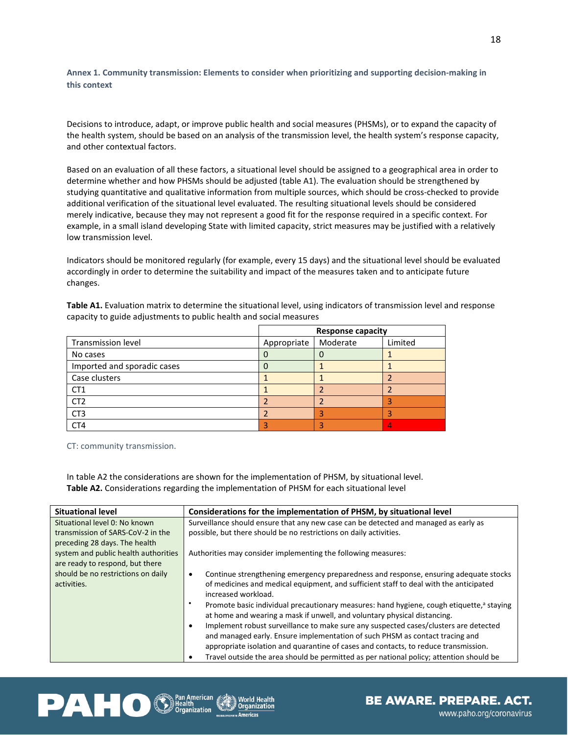**Annex 1. Community transmission: Elements to consider when prioritizing and supporting decision-making in this context**

Decisions to introduce, adapt, or improve public health and social measures (PHSMs), or to expand the capacity of the health system, should be based on an analysis of the transmission level, the health system's response capacity, and other contextual factors.

Based on an evaluation of all these factors, a situational level should be assigned to a geographical area in order to determine whether and how PHSMs should be adjusted (table A1). The evaluation should be strengthened by studying quantitative and qualitative information from multiple sources, which should be cross-checked to provide additional verification of the situational level evaluated. The resulting situational levels should be considered merely indicative, because they may not represent a good fit for the response required in a specific context. For example, in a small island developing State with limited capacity, strict measures may be justified with a relatively low transmission level.

Indicators should be monitored regularly (for example, every 15 days) and the situational level should be evaluated accordingly in order to determine the suitability and impact of the measures taken and to anticipate future changes.

**Table A1.** Evaluation matrix to determine the situational level, using indicators of transmission level and response capacity to guide adjustments to public health and social measures

|                             | <b>Response capacity</b> |          |         |
|-----------------------------|--------------------------|----------|---------|
| Transmission level          | Appropriate              | Moderate | Limited |
| No cases                    |                          |          |         |
| Imported and sporadic cases |                          |          |         |
| Case clusters               |                          |          |         |
| CT <sub>1</sub>             |                          |          |         |
| CT <sub>2</sub>             |                          |          |         |
| CT <sub>3</sub>             |                          |          |         |
| CT4                         |                          |          |         |

CT: community transmission.

In table A2 the considerations are shown for the implementation of PHSM, by situational level. **Table A2.** Considerations regarding the implementation of PHSM for each situational level

| <b>Situational level</b>             | Considerations for the implementation of PHSM, by situational level                                       |
|--------------------------------------|-----------------------------------------------------------------------------------------------------------|
| Situational level 0: No known        | Surveillance should ensure that any new case can be detected and managed as early as                      |
| transmission of SARS-CoV-2 in the    | possible, but there should be no restrictions on daily activities.                                        |
| preceding 28 days. The health        |                                                                                                           |
| system and public health authorities | Authorities may consider implementing the following measures:                                             |
| are ready to respond, but there      |                                                                                                           |
| should be no restrictions on daily   | Continue strengthening emergency preparedness and response, ensuring adequate stocks<br>$\bullet$         |
| activities.                          | of medicines and medical equipment, and sufficient staff to deal with the anticipated                     |
|                                      | increased workload.                                                                                       |
|                                      | ٠<br>Promote basic individual precautionary measures: hand hygiene, cough etiquette, <sup>a</sup> staying |
|                                      | at home and wearing a mask if unwell, and voluntary physical distancing.                                  |
|                                      | Implement robust surveillance to make sure any suspected cases/clusters are detected<br>$\bullet$         |
|                                      | and managed early. Ensure implementation of such PHSM as contact tracing and                              |
|                                      | appropriate isolation and quarantine of cases and contacts, to reduce transmission.                       |
|                                      |                                                                                                           |
|                                      | Travel outside the area should be permitted as per national policy; attention should be<br>٠              |



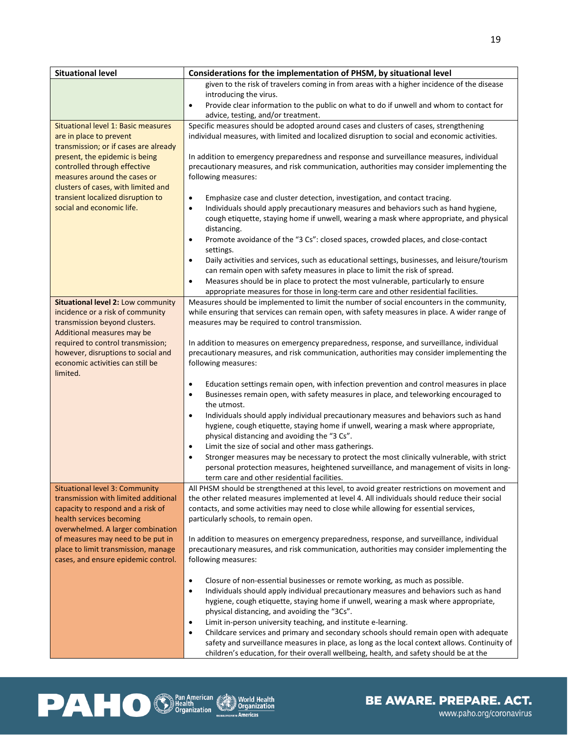| <b>Situational level</b>                                                 | Considerations for the implementation of PHSM, by situational level                                                                                                                                                                     |
|--------------------------------------------------------------------------|-----------------------------------------------------------------------------------------------------------------------------------------------------------------------------------------------------------------------------------------|
|                                                                          | given to the risk of travelers coming in from areas with a higher incidence of the disease                                                                                                                                              |
|                                                                          | introducing the virus.<br>Provide clear information to the public on what to do if unwell and whom to contact for<br>$\bullet$                                                                                                          |
|                                                                          | advice, testing, and/or treatment.                                                                                                                                                                                                      |
| Situational level 1: Basic measures                                      | Specific measures should be adopted around cases and clusters of cases, strengthening                                                                                                                                                   |
| are in place to prevent                                                  | individual measures, with limited and localized disruption to social and economic activities.                                                                                                                                           |
| transmission; or if cases are already<br>present, the epidemic is being  | In addition to emergency preparedness and response and surveillance measures, individual                                                                                                                                                |
| controlled through effective                                             | precautionary measures, and risk communication, authorities may consider implementing the                                                                                                                                               |
| measures around the cases or                                             | following measures:                                                                                                                                                                                                                     |
| clusters of cases, with limited and                                      |                                                                                                                                                                                                                                         |
| transient localized disruption to                                        | Emphasize case and cluster detection, investigation, and contact tracing.<br>$\bullet$                                                                                                                                                  |
| social and economic life.                                                | Individuals should apply precautionary measures and behaviors such as hand hygiene,<br>$\bullet$<br>cough etiquette, staying home if unwell, wearing a mask where appropriate, and physical                                             |
|                                                                          | distancing.                                                                                                                                                                                                                             |
|                                                                          | Promote avoidance of the "3 Cs": closed spaces, crowded places, and close-contact<br>$\bullet$                                                                                                                                          |
|                                                                          | settings.                                                                                                                                                                                                                               |
|                                                                          | Daily activities and services, such as educational settings, businesses, and leisure/tourism<br>٠                                                                                                                                       |
|                                                                          | can remain open with safety measures in place to limit the risk of spread.<br>Measures should be in place to protect the most vulnerable, particularly to ensure<br>$\bullet$                                                           |
|                                                                          | appropriate measures for those in long-term care and other residential facilities.                                                                                                                                                      |
| Situational level 2: Low community                                       | Measures should be implemented to limit the number of social encounters in the community,                                                                                                                                               |
| incidence or a risk of community                                         | while ensuring that services can remain open, with safety measures in place. A wider range of                                                                                                                                           |
| transmission beyond clusters.                                            | measures may be required to control transmission.                                                                                                                                                                                       |
| Additional measures may be<br>required to control transmission;          | In addition to measures on emergency preparedness, response, and surveillance, individual                                                                                                                                               |
| however, disruptions to social and                                       | precautionary measures, and risk communication, authorities may consider implementing the                                                                                                                                               |
| economic activities can still be                                         | following measures:                                                                                                                                                                                                                     |
| limited.                                                                 |                                                                                                                                                                                                                                         |
|                                                                          | Education settings remain open, with infection prevention and control measures in place<br>$\bullet$                                                                                                                                    |
|                                                                          | Businesses remain open, with safety measures in place, and teleworking encouraged to<br>٠<br>the utmost.                                                                                                                                |
|                                                                          | Individuals should apply individual precautionary measures and behaviors such as hand<br>$\bullet$                                                                                                                                      |
|                                                                          | hygiene, cough etiquette, staying home if unwell, wearing a mask where appropriate,<br>physical distancing and avoiding the "3 Cs".                                                                                                     |
|                                                                          | Limit the size of social and other mass gatherings.<br>$\bullet$                                                                                                                                                                        |
|                                                                          | Stronger measures may be necessary to protect the most clinically vulnerable, with strict<br>٠                                                                                                                                          |
|                                                                          | personal protection measures, heightened surveillance, and management of visits in long-                                                                                                                                                |
| <b>Situational level 3: Community</b>                                    | term care and other residential facilities.<br>All PHSM should be strengthened at this level, to avoid greater restrictions on movement and                                                                                             |
| transmission with limited additional                                     | the other related measures implemented at level 4. All individuals should reduce their social                                                                                                                                           |
| capacity to respond and a risk of                                        | contacts, and some activities may need to close while allowing for essential services,                                                                                                                                                  |
| health services becoming                                                 | particularly schools, to remain open.                                                                                                                                                                                                   |
| overwhelmed. A larger combination                                        |                                                                                                                                                                                                                                         |
| of measures may need to be put in<br>place to limit transmission, manage | In addition to measures on emergency preparedness, response, and surveillance, individual<br>precautionary measures, and risk communication, authorities may consider implementing the                                                  |
| cases, and ensure epidemic control.                                      | following measures:                                                                                                                                                                                                                     |
|                                                                          |                                                                                                                                                                                                                                         |
|                                                                          | Closure of non-essential businesses or remote working, as much as possible.<br>$\bullet$                                                                                                                                                |
|                                                                          | Individuals should apply individual precautionary measures and behaviors such as hand<br>$\bullet$<br>hygiene, cough etiquette, staying home if unwell, wearing a mask where appropriate,                                               |
|                                                                          |                                                                                                                                                                                                                                         |
|                                                                          | Limit in-person university teaching, and institute e-learning.                                                                                                                                                                          |
|                                                                          | Childcare services and primary and secondary schools should remain open with adequate<br>$\bullet$                                                                                                                                      |
|                                                                          |                                                                                                                                                                                                                                         |
|                                                                          | physical distancing, and avoiding the "3Cs".<br>safety and surveillance measures in place, as long as the local context allows. Continuity of<br>children's education, for their overall wellbeing, health, and safety should be at the |



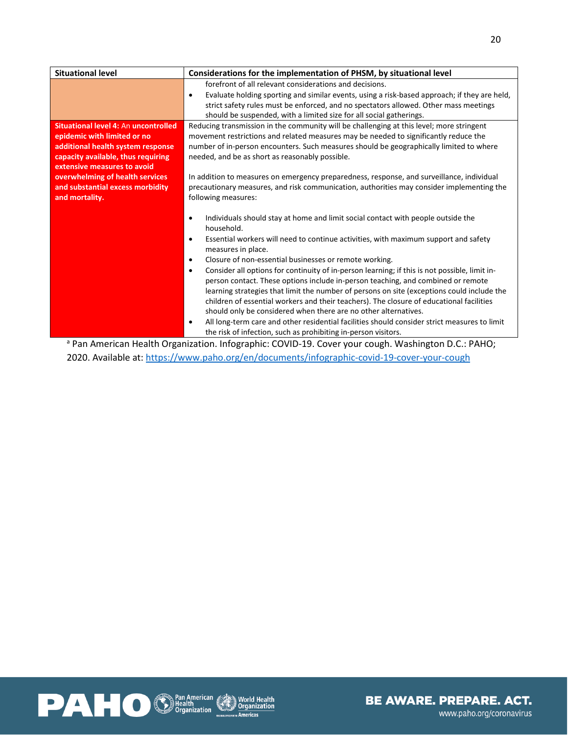| Considerations for the implementation of PHSM, by situational level                                        |
|------------------------------------------------------------------------------------------------------------|
| forefront of all relevant considerations and decisions.                                                    |
| Evaluate holding sporting and similar events, using a risk-based approach; if they are held,<br>$\bullet$  |
| strict safety rules must be enforced, and no spectators allowed. Other mass meetings                       |
| should be suspended, with a limited size for all social gatherings.                                        |
| Reducing transmission in the community will be challenging at this level; more stringent                   |
| movement restrictions and related measures may be needed to significantly reduce the                       |
| number of in-person encounters. Such measures should be geographically limited to where                    |
| needed, and be as short as reasonably possible.                                                            |
|                                                                                                            |
| In addition to measures on emergency preparedness, response, and surveillance, individual                  |
| precautionary measures, and risk communication, authorities may consider implementing the                  |
| following measures:                                                                                        |
|                                                                                                            |
| Individuals should stay at home and limit social contact with people outside the<br>$\bullet$              |
| household.                                                                                                 |
| Essential workers will need to continue activities, with maximum support and safety<br>$\bullet$           |
| measures in place.                                                                                         |
| Closure of non-essential businesses or remote working.<br>$\bullet$                                        |
| Consider all options for continuity of in-person learning; if this is not possible, limit in-<br>$\bullet$ |
| person contact. These options include in-person teaching, and combined or remote                           |
| learning strategies that limit the number of persons on site (exceptions could include the                 |
| children of essential workers and their teachers). The closure of educational facilities                   |
| should only be considered when there are no other alternatives.                                            |
| All long-term care and other residential facilities should consider strict measures to limit<br>٠          |
| the risk of infection, such as prohibiting in-person visitors.                                             |
|                                                                                                            |

<sup>a</sup> Pan American Health Organization. Infographic: COVID-19. Cover your cough. Washington D.C.: PAHO; 2020. Available at: <https://www.paho.org/en/documents/infographic-covid-19-cover-your-cough>